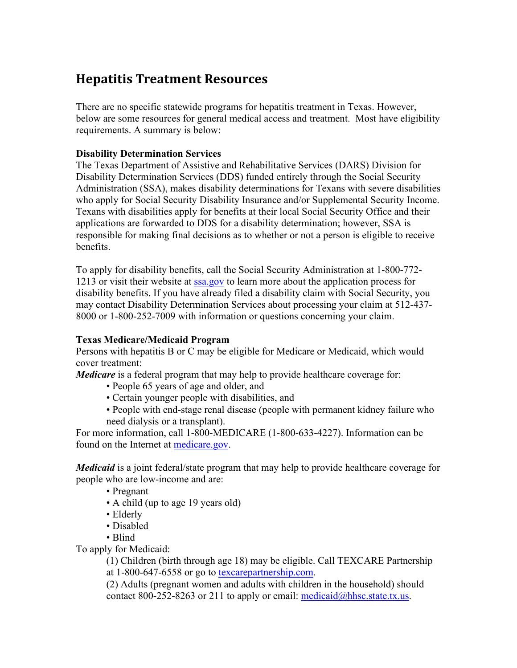# **Hepatitis Treatment Resources**

There are no specific statewide programs for hepatitis treatment in Texas. However, below are some resources for general medical access and treatment. Most have eligibility requirements. A summary is below:

# **Disability Determination Services**

The Texas Department of Assistive and Rehabilitative Services (DARS) Division for Disability Determination Services (DDS) funded entirely through the Social Security Administration (SSA), makes disability determinations for Texans with severe disabilities who apply for Social Security Disability Insurance and/or Supplemental Security Income. Texans with disabilities apply for benefits at their local Social Security Office and their applications are forwarded to DDS for a disability determination; however, SSA is responsible for making final decisions as to whether or not a person is eligible to receive benefits.

To apply for disability benefits, call the Social Security Administration at 1-800-772 1213 or visit their website at [ssa.gov](http://www.ssa.gov/) to learn more about the application process for disability benefits. If you have already filed a disability claim with Social Security, you may contact Disability Determination Services about processing your claim at 512-437- 8000 or 1-800-252-7009 with information or questions concerning your claim.

#### **Texas Medicare/Medicaid Program**

Persons with hepatitis B or C may be eligible for Medicare or Medicaid, which would cover treatment:

*Medicare* is a federal program that may help to provide healthcare coverage for:

- People 65 years of age and older, and
- Certain younger people with disabilities, and
- People with end-stage renal disease (people with permanent kidney failure who need dialysis or a transplant).

For more information, call 1-800-MEDICARE (1-800-633-4227). Information can be found on the Internet at [medicare.gov.](http://www.medicare.gov/)

*Medicaid* is a joint federal/state program that may help to provide healthcare coverage for people who are low-income and are:

- Pregnant
- A child (up to age 19 years old)
- Elderly
- Disabled
- Blind

To apply for Medicaid:

(1) Children (birth through age 18) may be eligible. Call TEXCARE Partnership at 1-800-647-6558 or go to [texcarepartnership.com.](http://www.texcarepartnership.com/)

(2) Adults (pregnant women and adults with children in the household) should contact 800-252-8263 or 211 to apply or email:  $\text{medicaid}(\hat{\omega})$ hhsc.state.tx.us.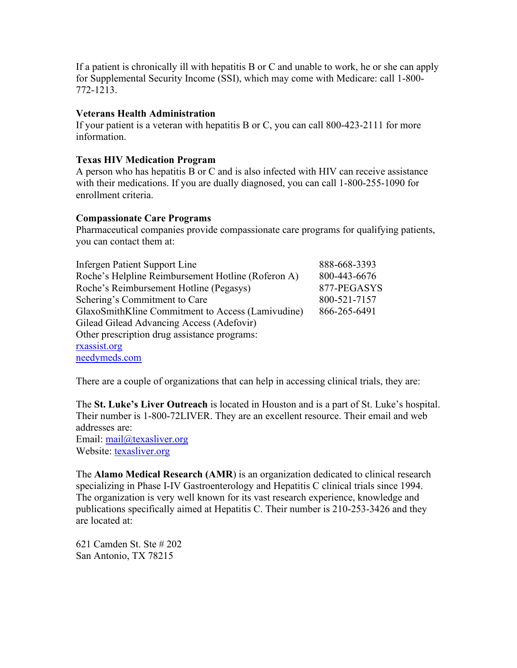If a patient is chronically ill with hepatitis B or C and unable to work, he or she can apply for Supplemental Security Income (SSI), which may come with Medicare: call 1-800- 772-1213.

# **Veterans Health Administration**

If your patient is a veteran with hepatitis B or C, you can call 800-423-2111 for more information.

# **Texas HIV Medication Program**

A person who has hepatitis B or C and is also infected with HIV can receive assistance with their medications. If you are dually diagnosed, you can call 1-800-255-1090 for enrollment criteria.

#### **Compassionate Care Programs**

Pharmaceutical companies provide compassionate care programs for qualifying patients, you can contact them at:

| <b>Infergen Patient Support Line</b>               | 888-668-3393 |
|----------------------------------------------------|--------------|
| Roche's Helpline Reimbursement Hotline (Roferon A) | 800-443-6676 |
| Roche's Reimbursement Hotline (Pegasys)            | 877-PEGASYS  |
| Schering's Commitment to Care                      | 800-521-7157 |
| GlaxoSmithKline Commitment to Access (Lamivudine)  | 866-265-6491 |
| Gilead Gilead Advancing Access (Adefovir)          |              |
| Other prescription drug assistance programs:       |              |
| rxassist.org                                       |              |
| needymeds.com                                      |              |

There are a couple of organizations that can help in accessing clinical trials, they are:

The **St. Luke's Liver Outreach** is located in Houston and is a part of St. Luke's hospital. Their number is 1-800-72LIVER. They are an excellent resource. Their email and web addresses are:

Email: mail@texasliver.org Website: [texasliver.org](http://www.texasliver.org/)

The **Alamo Medical Research (AMR**) is an organization dedicated to clinical research specializing in Phase I-IV Gastroenterology and Hepatitis C clinical trials since 1994. The organization is very well known for its vast research experience, knowledge and publications specifically aimed at Hepatitis C. Their number is 210-253-3426 and they are located at:

621 Camden St. Ste # 202 San Antonio, TX 78215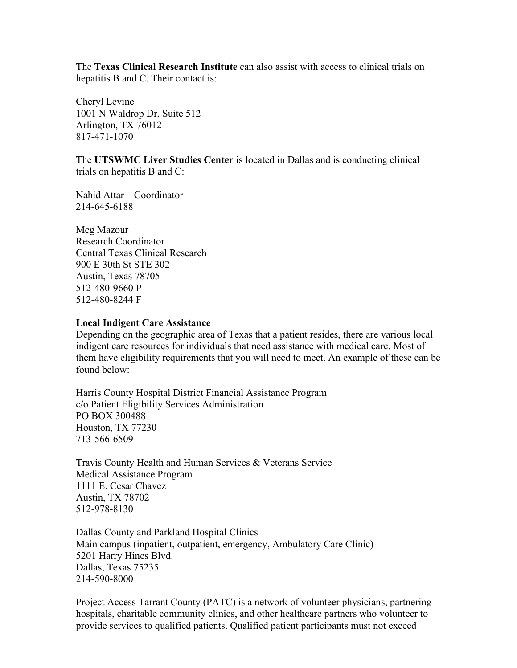The **Texas Clinical Research Institute** can also assist with access to clinical trials on hepatitis B and C. Their contact is:

Cheryl Levine 1001 N Waldrop Dr, Suite 512 Arlington, TX 76012 817-471-1070

The **UTSWMC Liver Studies Center** is located in Dallas and is conducting clinical trials on hepatitis B and C:

Nahid Attar – Coordinator 214-645-6188

Meg Mazour Research Coordinator Central Texas Clinical Research 900 E 30th St STE 302 Austin, Texas 78705 512-480-9660 P 512-480-8244 F

#### **Local Indigent Care Assistance**

Depending on the geographic area of Texas that a patient resides, there are various local indigent care resources for individuals that need assistance with medical care. Most of them have eligibility requirements that you will need to meet. An example of these can be found below:

Harris County Hospital District Financial Assistance Program c/o Patient Eligibility Services Administration PO BOX 300488 Houston, TX 77230 713-566-6509

Travis County Health and Human Services & Veterans Service Medical Assistance Program 1111 E. Cesar Chavez Austin, TX 78702 512-978-8130

Dallas County and Parkland Hospital Clinics Main campus (inpatient, outpatient, emergency, Ambulatory Care Clinic) 5201 Harry Hines Blvd. Dallas, Texas 75235 214-590-8000

Project Access Tarrant County (PATC) is a network of volunteer physicians, partnering hospitals, charitable community clinics, and other healthcare partners who volunteer to provide services to qualified patients. Qualified patient participants must not exceed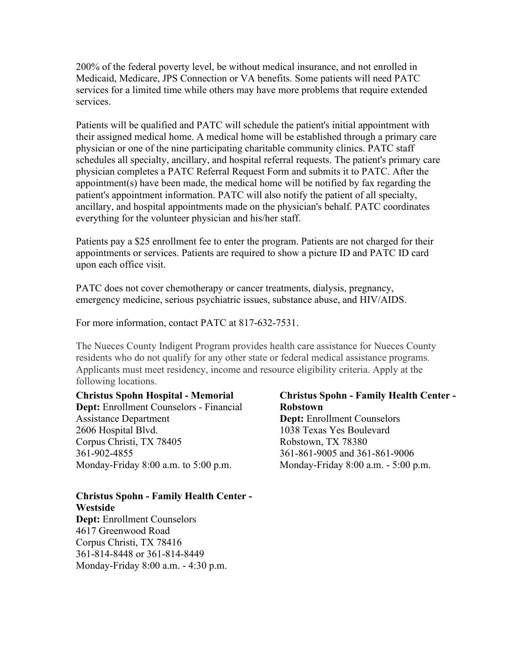200% of the federal poverty level, be without medical insurance, and not enrolled in Medicaid, Medicare, JPS Connection or VA benefits. Some patients will need PATC services for a limited time while others may have more problems that require extended services.

Patients will be qualified and PATC will schedule the patient's initial appointment with their assigned medical home. A medical home will be established through a primary care physician or one of the nine participating charitable community clinics. PATC staff schedules all specialty, ancillary, and hospital referral requests. The patient's primary care physician completes a PATC Referral Request Form and submits it to PATC. After the appointment(s) have been made, the medical home will be notified by fax regarding the patient's appointment information. PATC will also notify the patient of all specialty, ancillary, and hospital appointments made on the physician's behalf. PATC coordinates everything for the volunteer physician and his/her staff.

Patients pay a \$25 enrollment fee to enter the program. Patients are not charged for their appointments or services. Patients are required to show a picture ID and PATC ID card upon each office visit.

PATC does not cover chemotherapy or cancer treatments, dialysis, pregnancy, emergency medicine, serious psychiatric issues, substance abuse, and HIV/AIDS.

For more information, contact PATC at 817-632-7531.

The Nueces County Indigent Program provides health care assistance for Nueces County residents who do not qualify for any other state or federal medical assistance programs. Applicants must meet residency, income and resource eligibility criteria. Apply at the following locations.

#### **Christus Spohn Hospital - Memorial**

**Dept:** Enrollment Counselors - Financial Assistance Department 2606 Hospital Blvd. Corpus Christi, TX 78405 361-902-4855 Monday-Friday 8:00 a.m. to 5:00 p.m.

# **Christus Spohn - Family Health Center - Westside Dept:** Enrollment Counselors 4617 Greenwood Road

Corpus Christi, TX 78416 361-814-8448 or 361-814-8449 Monday-Friday 8:00 a.m. - 4:30 p.m.

# **Christus Spohn - Family Health Center - Robstown**

**Dept:** Enrollment Counselors 1038 Texas Yes Boulevard Robstown, TX 78380 361-861-9005 and 361-861-9006 Monday-Friday 8:00 a.m. - 5:00 p.m.